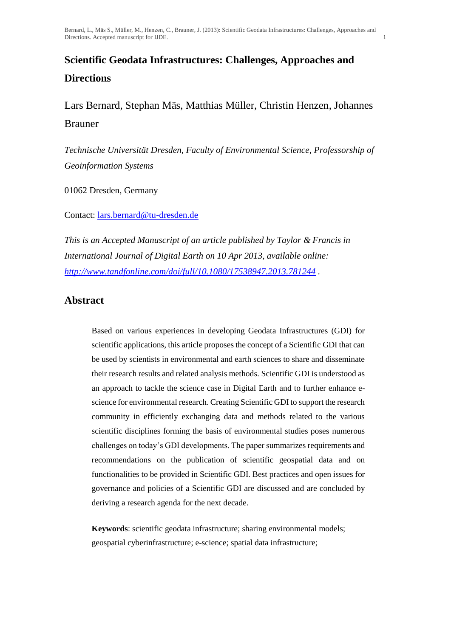# **Scientific Geodata Infrastructures: Challenges, Approaches and Directions**

Lars Bernard, Stephan Mäs, Matthias Müller, Christin Henzen, Johannes Brauner

*Technische Universität Dresden, Faculty of Environmental Science, Professorship of Geoinformation Systems*

01062 Dresden, Germany

Contact: [lars.bernard@tu-dresden.de](mailto:lars.bernard@tu-dresden.de)

*This is an Accepted Manuscript of an article published by Taylor & Francis in International Journal of Digital Earth on 10 Apr 2013, available online: <http://www.tandfonline.com/doi/full/10.1080/17538947.2013.781244> .*

# **Abstract**

Based on various experiences in developing Geodata Infrastructures (GDI) for scientific applications, this article proposes the concept of a Scientific GDI that can be used by scientists in environmental and earth sciences to share and disseminate their research results and related analysis methods. Scientific GDI is understood as an approach to tackle the science case in Digital Earth and to further enhance escience for environmental research. Creating Scientific GDI to support the research community in efficiently exchanging data and methods related to the various scientific disciplines forming the basis of environmental studies poses numerous challenges on today's GDI developments. The paper summarizes requirements and recommendations on the publication of scientific geospatial data and on functionalities to be provided in Scientific GDI. Best practices and open issues for governance and policies of a Scientific GDI are discussed and are concluded by deriving a research agenda for the next decade.

**Keywords**: scientific geodata infrastructure; sharing environmental models; geospatial cyberinfrastructure; e-science; spatial data infrastructure;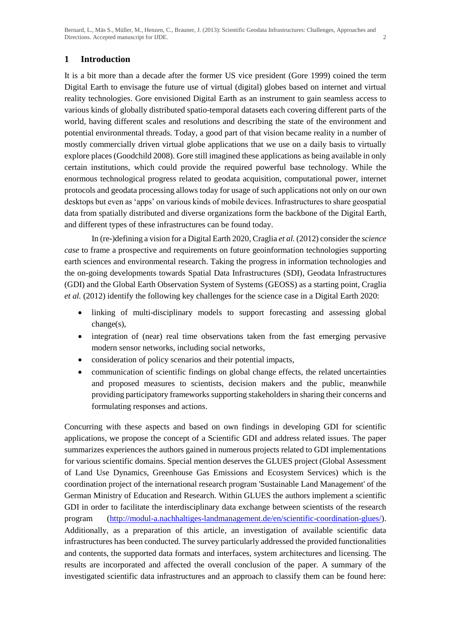# **1 Introduction**

It is a bit more than a decade after the former US vice president (Gore 1999) coined the term Digital Earth to envisage the future use of virtual (digital) globes based on internet and virtual reality technologies. Gore envisioned Digital Earth as an instrument to gain seamless access to various kinds of globally distributed spatio-temporal datasets each covering different parts of the world, having different scales and resolutions and describing the state of the environment and potential environmental threads. Today, a good part of that vision became reality in a number of mostly commercially driven virtual globe applications that we use on a daily basis to virtually explore places (Goodchild 2008). Gore still imagined these applications as being available in only certain institutions, which could provide the required powerful base technology. While the enormous technological progress related to geodata acquisition, computational power, internet protocols and geodata processing allows today for usage of such applications not only on our own desktops but even as 'apps' on various kinds of mobile devices. Infrastructures to share geospatial data from spatially distributed and diverse organizations form the backbone of the Digital Earth, and different types of these infrastructures can be found today.

In (re-)defining a vision for a Digital Earth 2020, Craglia *et al.* (2012) consider the *science case* to frame a prospective and requirements on future geoinformation technologies supporting earth sciences and environmental research. Taking the progress in information technologies and the on-going developments towards Spatial Data Infrastructures (SDI), Geodata Infrastructures (GDI) and the Global Earth Observation System of Systems (GEOSS) as a starting point, Craglia *et al.* (2012) identify the following key challenges for the science case in a Digital Earth 2020:

- linking of multi-disciplinary models to support forecasting and assessing global change(s),
- integration of (near) real time observations taken from the fast emerging pervasive modern sensor networks, including social networks,
- consideration of policy scenarios and their potential impacts,
- communication of scientific findings on global change effects, the related uncertainties and proposed measures to scientists, decision makers and the public, meanwhile providing participatory frameworks supporting stakeholders in sharing their concerns and formulating responses and actions.

Concurring with these aspects and based on own findings in developing GDI for scientific applications, we propose the concept of a Scientific GDI and address related issues. The paper summarizes experiences the authors gained in numerous projects related to GDI implementations for various scientific domains. Special mention deserves the GLUES project (Global Assessment of Land Use Dynamics, Greenhouse Gas Emissions and Ecosystem Services) which is the coordination project of the international research program 'Sustainable Land Management' of the German Ministry of Education and Research. Within GLUES the authors implement a scientific GDI in order to facilitate the interdisciplinary data exchange between scientists of the research program [\(http://modul-a.nachhaltiges-landmanagement.de/en/scientific-coordination-glues/\)](http://modul-a.nachhaltiges-landmanagement.de/en/scientific-coordination-glues/). Additionally, as a preparation of this article, an investigation of available scientific data infrastructures has been conducted. The survey particularly addressed the provided functionalities and contents, the supported data formats and interfaces, system architectures and licensing. The results are incorporated and affected the overall conclusion of the paper. A summary of the investigated scientific data infrastructures and an approach to classify them can be found here: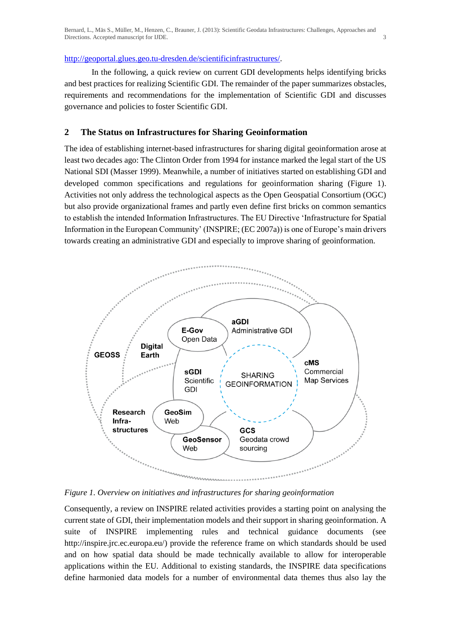## [http://geoportal.glues.geo.tu-dresden.de/scientificinfrastructures/.](http://geoportal.glues.geo.tu-dresden.de/scientificinfrastructures/)

In the following, a quick review on current GDI developments helps identifying bricks and best practices for realizing Scientific GDI. The remainder of the paper summarizes obstacles, requirements and recommendations for the implementation of Scientific GDI and discusses governance and policies to foster Scientific GDI.

# **2 The Status on Infrastructures for Sharing Geoinformation**

The idea of establishing internet-based infrastructures for sharing digital geoinformation arose at least two decades ago: The Clinton Order from 1994 for instance marked the legal start of the US National SDI (Masser 1999). Meanwhile, a number of initiatives started on establishing GDI and developed common specifications and regulations for geoinformation sharing (Figure 1). Activities not only address the technological aspects as the Open Geospatial Consortium (OGC) but also provide organizational frames and partly even define first bricks on common semantics to establish the intended Information Infrastructures. The EU Directive 'Infrastructure for Spatial Information in the European Community' (INSPIRE; (EC 2007a)) is one of Europe's main drivers towards creating an administrative GDI and especially to improve sharing of geoinformation.



*Figure 1. Overview on initiatives and infrastructures for sharing geoinformation*

Consequently, a review on INSPIRE related activities provides a starting point on analysing the current state of GDI, their implementation models and their support in sharing geoinformation. A suite of INSPIRE implementing rules and technical guidance documents (see http://inspire.jrc.ec.europa.eu/) provide the reference frame on which standards should be used and on how spatial data should be made technically available to allow for interoperable applications within the EU. Additional to existing standards, the INSPIRE data specifications define harmonied data models for a number of environmental data themes thus also lay the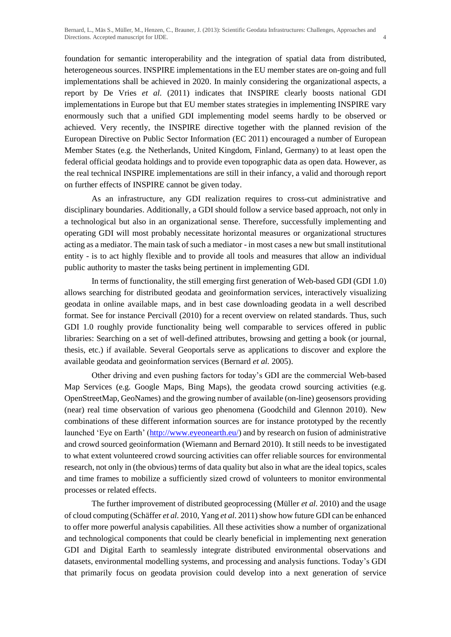foundation for semantic interoperability and the integration of spatial data from distributed, heterogeneous sources. INSPIRE implementations in the EU member states are on-going and full implementations shall be achieved in 2020. In mainly considering the organizational aspects, a report by De Vries *et al.* (2011) indicates that INSPIRE clearly boosts national GDI implementations in Europe but that EU member states strategies in implementing INSPIRE vary enormously such that a unified GDI implementing model seems hardly to be observed or achieved. Very recently, the INSPIRE directive together with the planned revision of the European Directive on Public Sector Information (EC 2011) encouraged a number of European Member States (e.g. the Netherlands, United Kingdom, Finland, Germany) to at least open the federal official geodata holdings and to provide even topographic data as open data. However, as the real technical INSPIRE implementations are still in their infancy, a valid and thorough report on further effects of INSPIRE cannot be given today.

As an infrastructure, any GDI realization requires to cross-cut administrative and disciplinary boundaries. Additionally, a GDI should follow a service based approach, not only in a technological but also in an organizational sense. Therefore, successfully implementing and operating GDI will most probably necessitate horizontal measures or organizational structures acting as a mediator. The main task of such a mediator - in most cases a new but small institutional entity - is to act highly flexible and to provide all tools and measures that allow an individual public authority to master the tasks being pertinent in implementing GDI.

In terms of functionality, the still emerging first generation of Web-based GDI (GDI 1.0) allows searching for distributed geodata and geoinformation services, interactively visualizing geodata in online available maps, and in best case downloading geodata in a well described format. See for instance Percivall (2010) for a recent overview on related standards. Thus, such GDI 1.0 roughly provide functionality being well comparable to services offered in public libraries: Searching on a set of well-defined attributes, browsing and getting a book (or journal, thesis, etc.) if available. Several Geoportals serve as applications to discover and explore the available geodata and geoinformation services (Bernard *et al.* 2005).

Other driving and even pushing factors for today's GDI are the commercial Web-based Map Services (e.g. Google Maps, Bing Maps), the geodata crowd sourcing activities (e.g. OpenStreetMap, GeoNames) and the growing number of available (on-line) geosensors providing (near) real time observation of various geo phenomena (Goodchild and Glennon 2010). New combinations of these different information sources are for instance prototyped by the recently launched 'Eye on Earth' [\(http://www.eyeonearth.eu/\)](http://www.eyeonearth.eu/) and by research on fusion of administrative and crowd sourced geoinformation (Wiemann and Bernard 2010). It still needs to be investigated to what extent volunteered crowd sourcing activities can offer reliable sources for environmental research, not only in (the obvious) terms of data quality but also in what are the ideal topics, scales and time frames to mobilize a sufficiently sized crowd of volunteers to monitor environmental processes or related effects.

The further improvement of distributed geoprocessing (Müller *et al.* 2010) and the usage of cloud computing (Schäffer *et al.* 2010, Yang *et al.* 2011) show how future GDI can be enhanced to offer more powerful analysis capabilities. All these activities show a number of organizational and technological components that could be clearly beneficial in implementing next generation GDI and Digital Earth to seamlessly integrate distributed environmental observations and datasets, environmental modelling systems, and processing and analysis functions. Today's GDI that primarily focus on geodata provision could develop into a next generation of service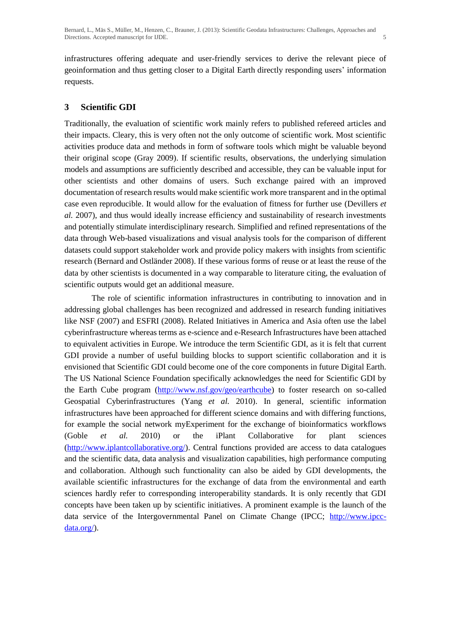infrastructures offering adequate and user-friendly services to derive the relevant piece of geoinformation and thus getting closer to a Digital Earth directly responding users' information requests.

# **3 Scientific GDI**

Traditionally, the evaluation of scientific work mainly refers to published refereed articles and their impacts. Cleary, this is very often not the only outcome of scientific work. Most scientific activities produce data and methods in form of software tools which might be valuable beyond their original scope (Gray 2009). If scientific results, observations, the underlying simulation models and assumptions are sufficiently described and accessible, they can be valuable input for other scientists and other domains of users. Such exchange paired with an improved documentation of research results would make scientific work more transparent and in the optimal case even reproducible. It would allow for the evaluation of fitness for further use (Devillers *et al.* 2007), and thus would ideally increase efficiency and sustainability of research investments and potentially stimulate interdisciplinary research. Simplified and refined representations of the data through Web-based visualizations and visual analysis tools for the comparison of different datasets could support stakeholder work and provide policy makers with insights from scientific research (Bernard and Ostländer 2008). If these various forms of reuse or at least the reuse of the data by other scientists is documented in a way comparable to literature citing, the evaluation of scientific outputs would get an additional measure.

The role of scientific information infrastructures in contributing to innovation and in addressing global challenges has been recognized and addressed in research funding initiatives like NSF (2007) and ESFRI (2008). Related Initiatives in America and Asia often use the label cyberinfrastructure whereas terms as e-science and e-Research Infrastructures have been attached to equivalent activities in Europe. We introduce the term Scientific GDI, as it is felt that current GDI provide a number of useful building blocks to support scientific collaboration and it is envisioned that Scientific GDI could become one of the core components in future Digital Earth. The US National Science Foundation specifically acknowledges the need for Scientific GDI by the Earth Cube program [\(http://www.nsf.gov/geo/earthcube\)](http://www.nsf.gov/geo/earthcube) to foster research on so-called Geospatial Cyberinfrastructures (Yang *et al.* 2010). In general, scientific information infrastructures have been approached for different science domains and with differing functions, for example the social network myExperiment for the exchange of bioinformatics workflows (Goble *et al.* 2010) or the iPlant Collaborative for plant sciences [\(http://www.iplantcollaborative.org/\)](http://www.iplantcollaborative.org/). Central functions provided are access to data catalogues and the scientific data, data analysis and visualization capabilities, high performance computing and collaboration. Although such functionality can also be aided by GDI developments, the available scientific infrastructures for the exchange of data from the environmental and earth sciences hardly refer to corresponding interoperability standards. It is only recently that GDI concepts have been taken up by scientific initiatives. A prominent example is the launch of the data service of the Intergovernmental Panel on Climate Change (IPCC; [http://www.ipcc](http://www.ipcc-data.org/)[data.org/\)](http://www.ipcc-data.org/).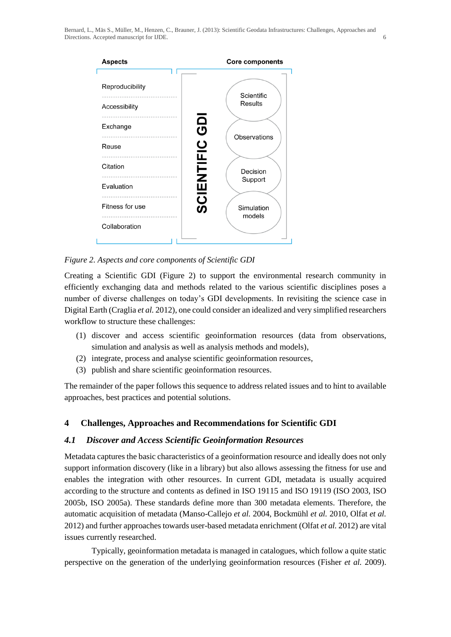

*Figure 2. Aspects and core components of Scientific GDI* 

Creating a Scientific GDI (Figure 2) to support the environmental research community in efficiently exchanging data and methods related to the various scientific disciplines poses a number of diverse challenges on today's GDI developments. In revisiting the science case in Digital Earth (Craglia *et al.* 2012), one could consider an idealized and very simplified researchers workflow to structure these challenges:

- (1) discover and access scientific geoinformation resources (data from observations, simulation and analysis as well as analysis methods and models),
- (2) integrate, process and analyse scientific geoinformation resources,
- (3) publish and share scientific geoinformation resources.

The remainder of the paper follows this sequence to address related issues and to hint to available approaches, best practices and potential solutions.

# **4 Challenges, Approaches and Recommendations for Scientific GDI**

# *4.1 Discover and Access Scientific Geoinformation Resources*

Metadata captures the basic characteristics of a geoinformation resource and ideally does not only support information discovery (like in a library) but also allows assessing the fitness for use and enables the integration with other resources. In current GDI, metadata is usually acquired according to the structure and contents as defined in ISO 19115 and ISO 19119 (ISO 2003, ISO 2005b, ISO 2005a). These standards define more than 300 metadata elements. Therefore, the automatic acquisition of metadata (Manso-Callejo *et al.* 2004, Bockmühl *et al.* 2010, Olfat *et al.* 2012) and further approaches towards user-based metadata enrichment (Olfat *et al.* 2012) are vital issues currently researched.

Typically, geoinformation metadata is managed in catalogues, which follow a quite static perspective on the generation of the underlying geoinformation resources (Fisher *et al.* 2009).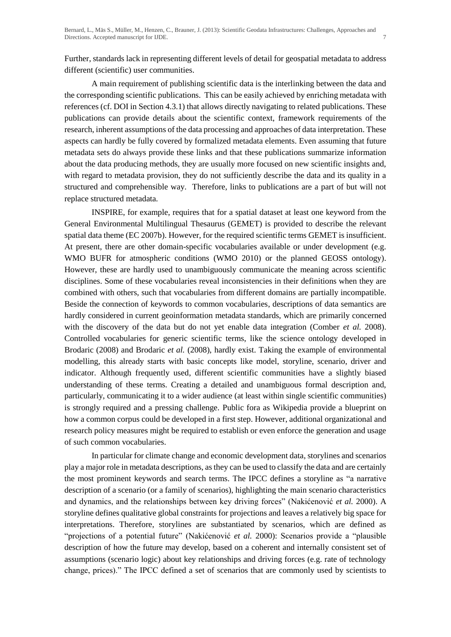Further, standards lack in representing different levels of detail for geospatial metadata to address different (scientific) user communities.

A main requirement of publishing scientific data is the interlinking between the data and the corresponding scientific publications. This can be easily achieved by enriching metadata with references (cf. DOI in Section 4.3.1) that allows directly navigating to related publications. These publications can provide details about the scientific context, framework requirements of the research, inherent assumptions of the data processing and approaches of data interpretation. These aspects can hardly be fully covered by formalized metadata elements. Even assuming that future metadata sets do always provide these links and that these publications summarize information about the data producing methods, they are usually more focused on new scientific insights and, with regard to metadata provision, they do not sufficiently describe the data and its quality in a structured and comprehensible way. Therefore, links to publications are a part of but will not replace structured metadata.

INSPIRE, for example, requires that for a spatial dataset at least one keyword from the General Environmental Multilingual Thesaurus (GEMET) is provided to describe the relevant spatial data theme (EC 2007b). However, for the required scientific terms GEMET is insufficient. At present, there are other domain-specific vocabularies available or under development (e.g. WMO BUFR for atmospheric conditions (WMO 2010) or the planned GEOSS ontology). However, these are hardly used to unambiguously communicate the meaning across scientific disciplines. Some of these vocabularies reveal inconsistencies in their definitions when they are combined with others, such that vocabularies from different domains are partially incompatible. Beside the connection of keywords to common vocabularies, descriptions of data semantics are hardly considered in current geoinformation metadata standards, which are primarily concerned with the discovery of the data but do not yet enable data integration (Comber *et al.* 2008). Controlled vocabularies for generic scientific terms, like the science ontology developed in Brodaric (2008) and Brodaric *et al.* (2008), hardly exist. Taking the example of environmental modelling, this already starts with basic concepts like model, storyline, scenario, driver and indicator. Although frequently used, different scientific communities have a slightly biased understanding of these terms. Creating a detailed and unambiguous formal description and, particularly, communicating it to a wider audience (at least within single scientific communities) is strongly required and a pressing challenge. Public fora as Wikipedia provide a blueprint on how a common corpus could be developed in a first step. However, additional organizational and research policy measures might be required to establish or even enforce the generation and usage of such common vocabularies.

In particular for climate change and economic development data, storylines and scenarios play a major role in metadata descriptions, as they can be used to classify the data and are certainly the most prominent keywords and search terms. The IPCC defines a storyline as "a narrative description of a scenario (or a family of scenarios), highlighting the main scenario characteristics and dynamics, and the relationships between key driving forces" (Nakićenović *et al.* 2000). A storyline defines qualitative global constraints for projections and leaves a relatively big space for interpretations. Therefore, storylines are substantiated by scenarios, which are defined as "projections of a potential future" (Nakićenović *et al.* 2000): Scenarios provide a "plausible description of how the future may develop, based on a coherent and internally consistent set of assumptions (scenario logic) about key relationships and driving forces (e.g. rate of technology change, prices)." The IPCC defined a set of scenarios that are commonly used by scientists to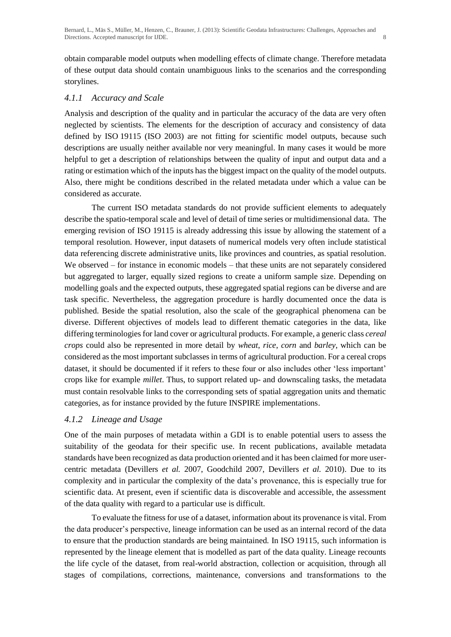obtain comparable model outputs when modelling effects of climate change. Therefore metadata of these output data should contain unambiguous links to the scenarios and the corresponding storylines.

# *4.1.1 Accuracy and Scale*

Analysis and description of the quality and in particular the accuracy of the data are very often neglected by scientists. The elements for the description of accuracy and consistency of data defined by ISO 19115 (ISO 2003) are not fitting for scientific model outputs, because such descriptions are usually neither available nor very meaningful. In many cases it would be more helpful to get a description of relationships between the quality of input and output data and a rating or estimation which of the inputs has the biggest impact on the quality of the model outputs. Also, there might be conditions described in the related metadata under which a value can be considered as accurate.

The current ISO metadata standards do not provide sufficient elements to adequately describe the spatio-temporal scale and level of detail of time series or multidimensional data. The emerging revision of ISO 19115 is already addressing this issue by allowing the statement of a temporal resolution. However, input datasets of numerical models very often include statistical data referencing discrete administrative units, like provinces and countries, as spatial resolution. We observed – for instance in economic models – that these units are not separately considered but aggregated to larger, equally sized regions to create a uniform sample size. Depending on modelling goals and the expected outputs, these aggregated spatial regions can be diverse and are task specific. Nevertheless, the aggregation procedure is hardly documented once the data is published. Beside the spatial resolution, also the scale of the geographical phenomena can be diverse. Different objectives of models lead to different thematic categories in the data, like differing terminologies for land cover or agricultural products. For example, a generic class *cereal crops* could also be represented in more detail by *wheat*, *rice*, *corn* and *barley*, which can be considered as the most important subclasses in terms of agricultural production. For a cereal crops dataset, it should be documented if it refers to these four or also includes other 'less important' crops like for example *millet*. Thus, to support related up- and downscaling tasks, the metadata must contain resolvable links to the corresponding sets of spatial aggregation units and thematic categories, as for instance provided by the future INSPIRE implementations.

# *4.1.2 Lineage and Usage*

One of the main purposes of metadata within a GDI is to enable potential users to assess the suitability of the geodata for their specific use. In recent publications, available metadata standards have been recognized as data production oriented and it has been claimed for more usercentric metadata (Devillers *et al.* 2007, Goodchild 2007, Devillers *et al.* 2010). Due to its complexity and in particular the complexity of the data's provenance, this is especially true for scientific data. At present, even if scientific data is discoverable and accessible, the assessment of the data quality with regard to a particular use is difficult.

To evaluate the fitness for use of a dataset, information about its provenance is vital. From the data producer's perspective, lineage information can be used as an internal record of the data to ensure that the production standards are being maintained. In ISO 19115, such information is represented by the lineage element that is modelled as part of the data quality. Lineage recounts the life cycle of the dataset, from real-world abstraction, collection or acquisition, through all stages of compilations, corrections, maintenance, conversions and transformations to the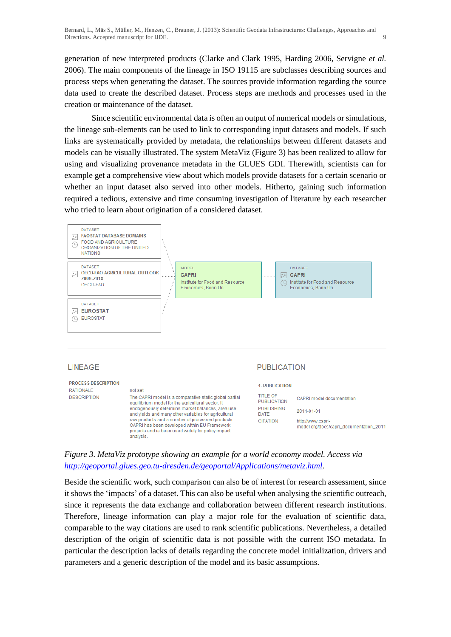generation of new interpreted products (Clarke and Clark 1995, Harding 2006, Servigne *et al.* 2006). The main components of the lineage in ISO 19115 are subclasses describing sources and process steps when generating the dataset. The sources provide information regarding the source data used to create the described dataset. Process steps are methods and processes used in the creation or maintenance of the dataset.

Since scientific environmental data is often an output of numerical models or simulations, the lineage sub-elements can be used to link to corresponding input datasets and models. If such links are systematically provided by metadata, the relationships between different datasets and models can be visually illustrated. The system MetaViz (Figure 3) has been realized to allow for using and visualizing provenance metadata in the GLUES GDI. Therewith, scientists can for example get a comprehensive view about which models provide datasets for a certain scenario or whether an input dataset also served into other models. Hitherto, gaining such information required a tedious, extensive and time consuming investigation of literature by each researcher who tried to learn about origination of a considered dataset.



*Figure 3. MetaViz prototype showing an example for a world economy model. Access via [http://geoportal.glues.geo.tu-dresden.de/geoportal/Applications/metaviz.html.](http://geoportal.glues.geo.tu-dresden.de/geoportal/Applications/metaviz.html)*

Beside the scientific work, such comparison can also be of interest for research assessment, since it shows the 'impacts' of a dataset. This can also be useful when analysing the scientific outreach, since it represents the data exchange and collaboration between different research institutions. Therefore, lineage information can play a major role for the evaluation of scientific data, comparable to the way citations are used to rank scientific publications. Nevertheless, a detailed description of the origin of scientific data is not possible with the current ISO metadata. In particular the description lacks of details regarding the concrete model initialization, drivers and parameters and a generic description of the model and its basic assumptions.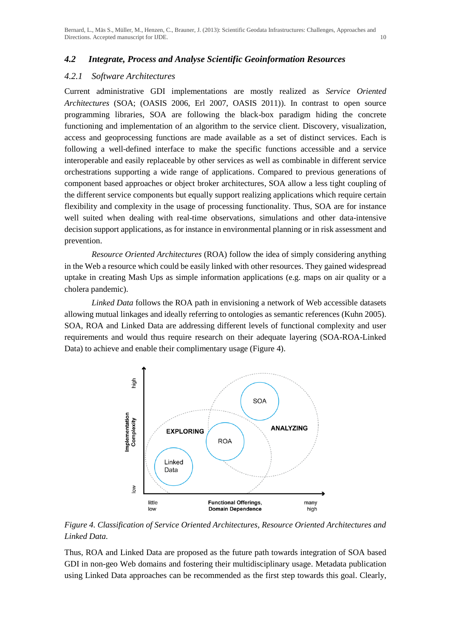# *4.2 Integrate, Process and Analyse Scientific Geoinformation Resources*

#### *4.2.1 Software Architectures*

Current administrative GDI implementations are mostly realized as *Service Oriented Architectures* (SOA; (OASIS 2006, Erl 2007, OASIS 2011)). In contrast to open source programming libraries, SOA are following the black-box paradigm hiding the concrete functioning and implementation of an algorithm to the service client. Discovery, visualization, access and geoprocessing functions are made available as a set of distinct services. Each is following a well-defined interface to make the specific functions accessible and a service interoperable and easily replaceable by other services as well as combinable in different service orchestrations supporting a wide range of applications. Compared to previous generations of component based approaches or object broker architectures, SOA allow a less tight coupling of the different service components but equally support realizing applications which require certain flexibility and complexity in the usage of processing functionality. Thus, SOA are for instance well suited when dealing with real-time observations, simulations and other data-intensive decision support applications, as for instance in environmental planning or in risk assessment and prevention.

*Resource Oriented Architectures* (ROA) follow the idea of simply considering anything in the Web a resource which could be easily linked with other resources. They gained widespread uptake in creating Mash Ups as simple information applications (e.g. maps on air quality or a cholera pandemic).

*Linked Data* follows the ROA path in envisioning a network of Web accessible datasets allowing mutual linkages and ideally referring to ontologies as semantic references (Kuhn 2005). SOA, ROA and Linked Data are addressing different levels of functional complexity and user requirements and would thus require research on their adequate layering (SOA-ROA-Linked Data) to achieve and enable their complimentary usage (Figure 4).



*Figure 4. Classification of Service Oriented Architectures, Resource Oriented Architectures and Linked Data.*

Thus, ROA and Linked Data are proposed as the future path towards integration of SOA based GDI in non-geo Web domains and fostering their multidisciplinary usage. Metadata publication using Linked Data approaches can be recommended as the first step towards this goal. Clearly,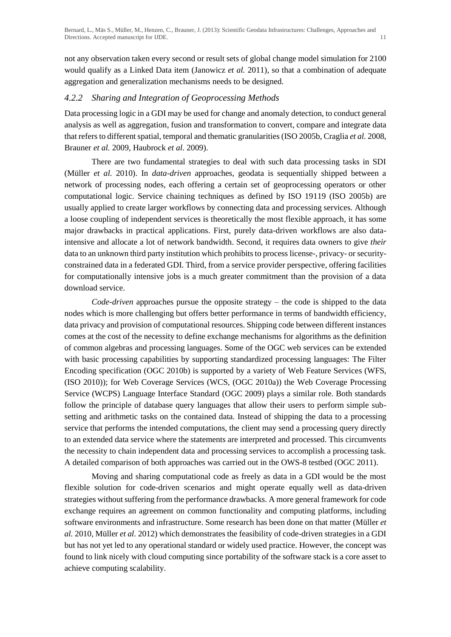not any observation taken every second or result sets of global change model simulation for 2100 would qualify as a Linked Data item (Janowicz *et al.* 2011), so that a combination of adequate aggregation and generalization mechanisms needs to be designed.

# *4.2.2 Sharing and Integration of Geoprocessing Methods*

Data processing logic in a GDI may be used for change and anomaly detection, to conduct general analysis as well as aggregation, fusion and transformation to convert, compare and integrate data that refers to different spatial, temporal and thematic granularities (ISO 2005b, Craglia *et al.* 2008, Brauner *et al.* 2009, Haubrock *et al.* 2009).

There are two fundamental strategies to deal with such data processing tasks in SDI (Müller *et al.* 2010). In *data-driven* approaches, geodata is sequentially shipped between a network of processing nodes, each offering a certain set of geoprocessing operators or other computational logic. Service chaining techniques as defined by ISO 19119 (ISO 2005b) are usually applied to create larger workflows by connecting data and processing services. Although a loose coupling of independent services is theoretically the most flexible approach, it has some major drawbacks in practical applications. First, purely data-driven workflows are also dataintensive and allocate a lot of network bandwidth. Second, it requires data owners to give *their* data to an unknown third party institution which prohibits to process license-, privacy- or securityconstrained data in a federated GDI. Third, from a service provider perspective, offering facilities for computationally intensive jobs is a much greater commitment than the provision of a data download service.

*Code-driven* approaches pursue the opposite strategy – the code is shipped to the data nodes which is more challenging but offers better performance in terms of bandwidth efficiency, data privacy and provision of computational resources. Shipping code between different instances comes at the cost of the necessity to define exchange mechanisms for algorithms as the definition of common algebras and processing languages. Some of the OGC web services can be extended with basic processing capabilities by supporting standardized processing languages: The Filter Encoding specification (OGC 2010b) is supported by a variety of Web Feature Services (WFS, (ISO 2010)); for Web Coverage Services (WCS, (OGC 2010a)) the Web Coverage Processing Service (WCPS) Language Interface Standard (OGC 2009) plays a similar role. Both standards follow the principle of database query languages that allow their users to perform simple subsetting and arithmetic tasks on the contained data. Instead of shipping the data to a processing service that performs the intended computations, the client may send a processing query directly to an extended data service where the statements are interpreted and processed. This circumvents the necessity to chain independent data and processing services to accomplish a processing task. A detailed comparison of both approaches was carried out in the OWS-8 testbed (OGC 2011).

Moving and sharing computational code as freely as data in a GDI would be the most flexible solution for code-driven scenarios and might operate equally well as data-driven strategies without suffering from the performance drawbacks. A more general framework for code exchange requires an agreement on common functionality and computing platforms, including software environments and infrastructure. Some research has been done on that matter (Müller *et al.* 2010, Müller *et al.* 2012) which demonstrates the feasibility of code-driven strategies in a GDI but has not yet led to any operational standard or widely used practice. However, the concept was found to link nicely with cloud computing since portability of the software stack is a core asset to achieve computing scalability.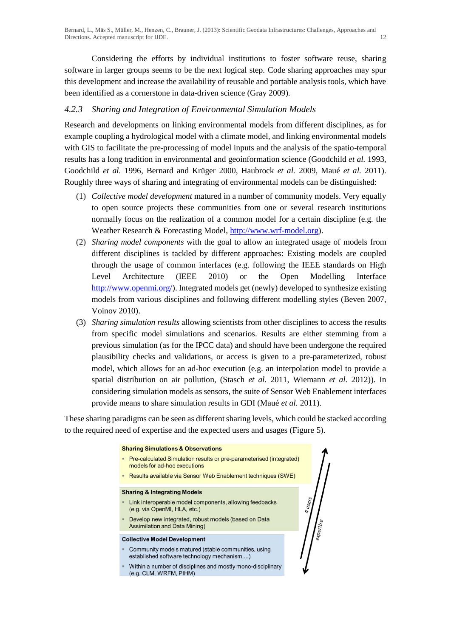Considering the efforts by individual institutions to foster software reuse, sharing software in larger groups seems to be the next logical step. Code sharing approaches may spur this development and increase the availability of reusable and portable analysis tools, which have been identified as a cornerstone in data-driven science (Gray 2009).

# *4.2.3 Sharing and Integration of Environmental Simulation Models*

Research and developments on linking environmental models from different disciplines, as for example coupling a hydrological model with a climate model, and linking environmental models with GIS to facilitate the pre-processing of model inputs and the analysis of the spatio-temporal results has a long tradition in environmental and geoinformation science (Goodchild *et al.* 1993, Goodchild *et al.* 1996, Bernard and Krüger 2000, Haubrock *et al.* 2009, Maué *et al.* 2011). Roughly three ways of sharing and integrating of environmental models can be distinguished:

- (1) *Collective model development* matured in a number of community models. Very equally to open source projects these communities from one or several research institutions normally focus on the realization of a common model for a certain discipline (e.g. the Weather Research & Forecasting Model[, http://www.wrf-model.org\)](http://www.wrf-model.org/).
- (2) *Sharing model components* with the goal to allow an integrated usage of models from different disciplines is tackled by different approaches: Existing models are coupled through the usage of common interfaces (e.g. following the IEEE standards on High Level Architecture (IEEE 2010) or the Open Modelling Interface [http://www.openmi.org/\)](http://www.openmi.org/). Integrated models get (newly) developed to synthesize existing models from various disciplines and following different modelling styles (Beven 2007, Voinov 2010).
- (3) *Sharing simulation results* allowing scientists from other disciplines to access the results from specific model simulations and scenarios. Results are either stemming from a previous simulation (as for the IPCC data) and should have been undergone the required plausibility checks and validations, or access is given to a pre-parameterized, robust model, which allows for an ad-hoc execution (e.g. an interpolation model to provide a spatial distribution on air pollution, (Stasch *et al.* 2011, Wiemann *et al.* 2012)). In considering simulation models as sensors, the suite of Sensor Web Enablement interfaces provide means to share simulation results in GDI (Maué *et al.* 2011).

These sharing paradigms can be seen as different sharing levels, which could be stacked according to the required need of expertise and the expected users and usages (Figure 5).

#### **Sharing Simulations & Observations**

- Pre-calculated Simulation results or pre-parameterised (integrated) models for ad-hoc executions
- Results available via Sensor Web Enablement techniques (SWE)

#### **Sharing & Integrating Models**

- Link interoperable model components, allowing feedbacks (e.g. via OpenMI, HLA, etc.)
- Develop new integrated, robust models (based on Data **Assimilation and Data Mining)**

#### **Collective Model Development**

- Community models matured (stable communities, using established software technology mechanism,...)
- Within a number of disciplines and mostly mono-disciplinary (e.g. CLM, WRFM, PIHM)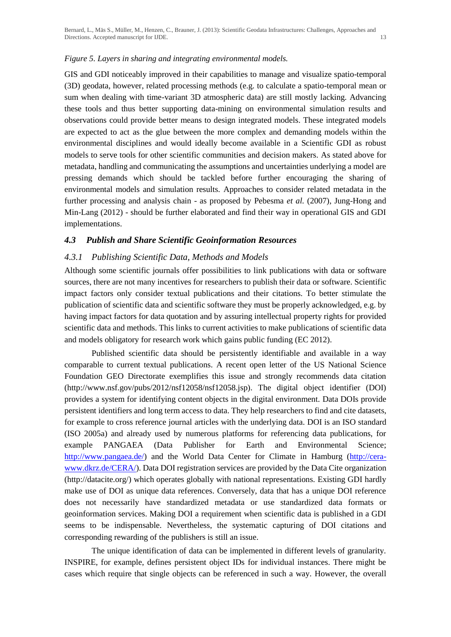## *Figure 5. Layers in sharing and integrating environmental models.*

GIS and GDI noticeably improved in their capabilities to manage and visualize spatio-temporal (3D) geodata, however, related processing methods (e.g. to calculate a spatio-temporal mean or sum when dealing with time-variant 3D atmospheric data) are still mostly lacking. Advancing these tools and thus better supporting data-mining on environmental simulation results and observations could provide better means to design integrated models. These integrated models are expected to act as the glue between the more complex and demanding models within the environmental disciplines and would ideally become available in a Scientific GDI as robust models to serve tools for other scientific communities and decision makers. As stated above for metadata, handling and communicating the assumptions and uncertainties underlying a model are pressing demands which should be tackled before further encouraging the sharing of environmental models and simulation results. Approaches to consider related metadata in the further processing and analysis chain - as proposed by Pebesma *et al.* (2007), Jung-Hong and Min-Lang (2012) - should be further elaborated and find their way in operational GIS and GDI implementations.

## *4.3 Publish and Share Scientific Geoinformation Resources*

#### *4.3.1 Publishing Scientific Data, Methods and Models*

Although some scientific journals offer possibilities to link publications with data or software sources, there are not many incentives for researchers to publish their data or software. Scientific impact factors only consider textual publications and their citations. To better stimulate the publication of scientific data and scientific software they must be properly acknowledged, e.g. by having impact factors for data quotation and by assuring intellectual property rights for provided scientific data and methods. This links to current activities to make publications of scientific data and models obligatory for research work which gains public funding (EC 2012).

Published scientific data should be persistently identifiable and available in a way comparable to current textual publications. A recent open letter of the US National Science Foundation GEO Directorate exemplifies this issue and strongly recommends data citation (http://www.nsf.gov/pubs/2012/nsf12058/nsf12058.jsp). The digital object identifier (DOI) provides a system for identifying content objects in the digital environment. Data DOIs provide persistent identifiers and long term access to data. They help researchers to find and cite datasets, for example to cross reference journal articles with the underlying data. DOI is an ISO standard (ISO 2005a) and already used by numerous platforms for referencing data publications, for example PANGAEA (Data Publisher for Earth and Environmental Science; [http://www.pangaea.de/\)](http://www.pangaea.de/) and the World Data Center for Climate in Hamburg [\(http://cera](http://cera-www.dkrz.de/CERA/)[www.dkrz.de/CERA/\)](http://cera-www.dkrz.de/CERA/). Data DOI registration services are provided by the Data Cite organization [\(http://datacite.org/\)](http://datacite.org/) which operates globally with national representations. Existing GDI hardly make use of DOI as unique data references. Conversely, data that has a unique DOI reference does not necessarily have standardized metadata or use standardized data formats or geoinformation services. Making DOI a requirement when scientific data is published in a GDI seems to be indispensable. Nevertheless, the systematic capturing of DOI citations and corresponding rewarding of the publishers is still an issue.

The unique identification of data can be implemented in different levels of granularity. INSPIRE, for example, defines persistent object IDs for individual instances. There might be cases which require that single objects can be referenced in such a way. However, the overall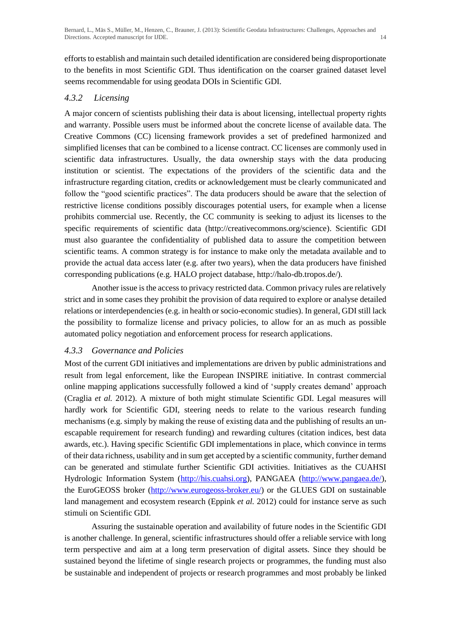efforts to establish and maintain such detailed identification are considered being disproportionate to the benefits in most Scientific GDI. Thus identification on the coarser grained dataset level seems recommendable for using geodata DOIs in Scientific GDI.

# *4.3.2 Licensing*

A major concern of scientists publishing their data is about licensing, intellectual property rights and warranty. Possible users must be informed about the concrete license of available data. The Creative Commons (CC) licensing framework provides a set of predefined harmonized and simplified licenses that can be combined to a license contract. CC licenses are commonly used in scientific data infrastructures. Usually, the data ownership stays with the data producing institution or scientist. The expectations of the providers of the scientific data and the infrastructure regarding citation, credits or acknowledgement must be clearly communicated and follow the "good scientific practices". The data producers should be aware that the selection of restrictive license conditions possibly discourages potential users, for example when a license prohibits commercial use. Recently, the CC community is seeking to adjust its licenses to the specific requirements of scientific data [\(http://creativecommons.org/science\)](http://creativecommons.org/science). Scientific GDI must also guarantee the confidentiality of published data to assure the competition between scientific teams. A common strategy is for instance to make only the metadata available and to provide the actual data access later (e.g. after two years), when the data producers have finished corresponding publications (e.g. HALO project database, http://halo-db.tropos.de/).

Another issue is the access to privacy restricted data. Common privacy rules are relatively strict and in some cases they prohibit the provision of data required to explore or analyse detailed relations or interdependencies (e.g. in health or socio-economic studies). In general, GDI still lack the possibility to formalize license and privacy policies, to allow for an as much as possible automated policy negotiation and enforcement process for research applications.

# *4.3.3 Governance and Policies*

Most of the current GDI initiatives and implementations are driven by public administrations and result from legal enforcement, like the European INSPIRE initiative. In contrast commercial online mapping applications successfully followed a kind of 'supply creates demand' approach (Craglia *et al.* 2012). A mixture of both might stimulate Scientific GDI. Legal measures will hardly work for Scientific GDI, steering needs to relate to the various research funding mechanisms (e.g. simply by making the reuse of existing data and the publishing of results an unescapable requirement for research funding) and rewarding cultures (citation indices, best data awards, etc.). Having specific Scientific GDI implementations in place, which convince in terms of their data richness, usability and in sum get accepted by a scientific community, further demand can be generated and stimulate further Scientific GDI activities. Initiatives as the CUAHSI Hydrologic Information System [\(http://his.cuahsi.org\)](http://his.cuahsi.org/), PANGAEA [\(http://www.pangaea.de/\)](http://www.pangaea.de/), the EuroGEOSS broker [\(http://www.eurogeoss-broker.eu/\)](http://www.eurogeoss-broker.eu/) or the GLUES GDI on sustainable land management and ecosystem research (Eppink *et al.* 2012) could for instance serve as such stimuli on Scientific GDI.

Assuring the sustainable operation and availability of future nodes in the Scientific GDI is another challenge. In general, scientific infrastructures should offer a reliable service with long term perspective and aim at a long term preservation of digital assets. Since they should be sustained beyond the lifetime of single research projects or programmes, the funding must also be sustainable and independent of projects or research programmes and most probably be linked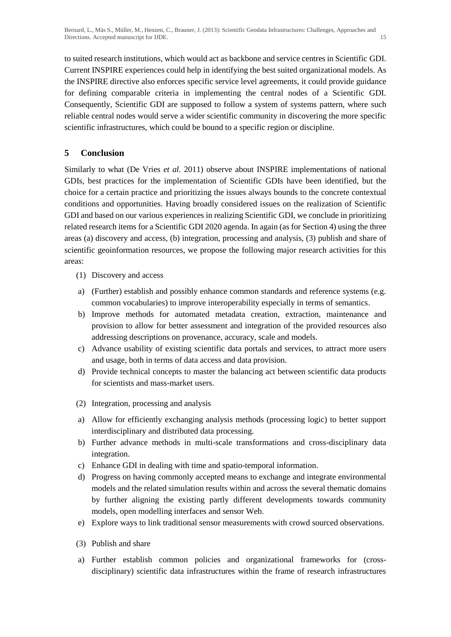to suited research institutions, which would act as backbone and service centres in Scientific GDI. Current INSPIRE experiences could help in identifying the best suited organizational models. As the INSPIRE directive also enforces specific service level agreements, it could provide guidance for defining comparable criteria in implementing the central nodes of a Scientific GDI. Consequently, Scientific GDI are supposed to follow a system of systems pattern, where such reliable central nodes would serve a wider scientific community in discovering the more specific scientific infrastructures, which could be bound to a specific region or discipline.

# **5 Conclusion**

Similarly to what (De Vries *et al.* 2011) observe about INSPIRE implementations of national GDIs, best practices for the implementation of Scientific GDIs have been identified, but the choice for a certain practice and prioritizing the issues always bounds to the concrete contextual conditions and opportunities. Having broadly considered issues on the realization of Scientific GDI and based on our various experiences in realizing Scientific GDI, we conclude in prioritizing related research items for a Scientific GDI 2020 agenda. In again (as for Section 4) using the three areas (a) discovery and access, (b) integration, processing and analysis, (3) publish and share of scientific geoinformation resources, we propose the following major research activities for this areas:

- (1) Discovery and access
- a) (Further) establish and possibly enhance common standards and reference systems (e.g. common vocabularies) to improve interoperability especially in terms of semantics.
- b) Improve methods for automated metadata creation, extraction, maintenance and provision to allow for better assessment and integration of the provided resources also addressing descriptions on provenance, accuracy, scale and models.
- c) Advance usability of existing scientific data portals and services, to attract more users and usage, both in terms of data access and data provision.
- d) Provide technical concepts to master the balancing act between scientific data products for scientists and mass-market users.
- (2) Integration, processing and analysis
- a) Allow for efficiently exchanging analysis methods (processing logic) to better support interdisciplinary and distributed data processing.
- b) Further advance methods in multi-scale transformations and cross-disciplinary data integration.
- c) Enhance GDI in dealing with time and spatio-temporal information.
- d) Progress on having commonly accepted means to exchange and integrate environmental models and the related simulation results within and across the several thematic domains by further aligning the existing partly different developments towards community models, open modelling interfaces and sensor Web.
- e) Explore ways to link traditional sensor measurements with crowd sourced observations.
- (3) Publish and share
- a) Further establish common policies and organizational frameworks for (crossdisciplinary) scientific data infrastructures within the frame of research infrastructures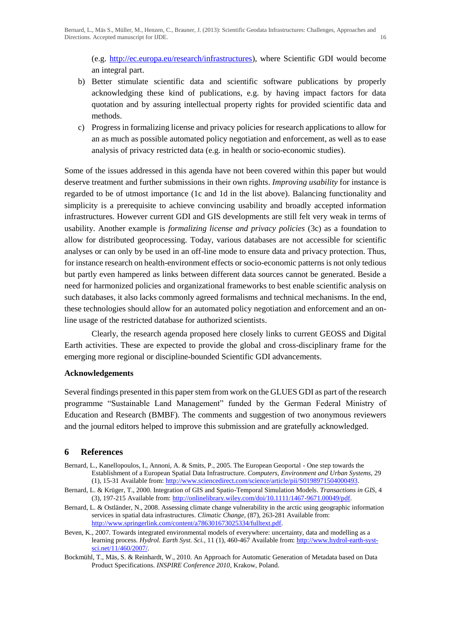(e.g. [http://ec.europa.eu/research/infrastructures\)](http://ec.europa.eu/research/infrastructures), where Scientific GDI would become an integral part.

- b) Better stimulate scientific data and scientific software publications by properly acknowledging these kind of publications, e.g. by having impact factors for data quotation and by assuring intellectual property rights for provided scientific data and methods.
- c) Progress in formalizing license and privacy policies for research applications to allow for an as much as possible automated policy negotiation and enforcement, as well as to ease analysis of privacy restricted data (e.g. in health or socio-economic studies).

Some of the issues addressed in this agenda have not been covered within this paper but would deserve treatment and further submissions in their own rights. *Improving usability* for instance is regarded to be of utmost importance (1c and 1d in the list above). Balancing functionality and simplicity is a prerequisite to achieve convincing usability and broadly accepted information infrastructures. However current GDI and GIS developments are still felt very weak in terms of usability. Another example is *formalizing license and privacy policies* (3c) as a foundation to allow for distributed geoprocessing. Today, various databases are not accessible for scientific analyses or can only by be used in an off-line mode to ensure data and privacy protection. Thus, for instance research on health-environment effects or socio-economic patterns is not only tedious but partly even hampered as links between different data sources cannot be generated. Beside a need for harmonized policies and organizational frameworks to best enable scientific analysis on such databases, it also lacks commonly agreed formalisms and technical mechanisms. In the end, these technologies should allow for an automated policy negotiation and enforcement and an online usage of the restricted database for authorized scientists.

Clearly, the research agenda proposed here closely links to current GEOSS and Digital Earth activities. These are expected to provide the global and cross-disciplinary frame for the emerging more regional or discipline-bounded Scientific GDI advancements.

#### **Acknowledgements**

Several findings presented in this paper stem from work on the GLUES GDI as part of the research programme "Sustainable Land Management" funded by the German Federal Ministry of Education and Research (BMBF). The comments and suggestion of two anonymous reviewers and the journal editors helped to improve this submission and are gratefully acknowledged.

# **6 References**

- Bernard, L., Kanellopoulos, I., Annoni, A. & Smits, P., 2005. The European Geoportal One step towards the Establishment of a European Spatial Data Infrastructure. *Computers, Environment and Urban Systems,* 29 (1), 15-31 Available from: [http://www.sciencedirect.com/science/article/pii/S0198971504000493.](http://www.sciencedirect.com/science/article/pii/S0198971504000493)
- Bernard, L. & Krüger, T., 2000. Integration of GIS and Spatio-Temporal Simulation Models. *Transactions in GIS,* 4 (3), 197-215 Available from: [http://onlinelibrary.wiley.com/doi/10.1111/1467-9671.00049/pdf.](http://onlinelibrary.wiley.com/doi/10.1111/1467-9671.00049/pdf)
- Bernard, L. & Ostländer, N., 2008. Assessing climate change vulnerability in the arctic using geographic information services in spatial data infrastructures. *Climatic Change,* (87), 263-281 Available from: [http://www.springerlink.com/content/a786301673025334/fulltext.pdf.](http://www.springerlink.com/content/a786301673025334/fulltext.pdf)
- Beven, K., 2007. Towards integrated environmental models of everywhere: uncertainty, data and modelling as a learning process. *Hydrol. Earth Syst. Sci.,* 11 (1), 460-467 Available from[: http://www.hydrol-earth-syst](http://www.hydrol-earth-syst-sci.net/11/460/2007/)[sci.net/11/460/2007/.](http://www.hydrol-earth-syst-sci.net/11/460/2007/)
- Bockmühl, T., Mäs, S. & Reinhardt, W., 2010. An Approach for Automatic Generation of Metadata based on Data Product Specifications. *INSPIRE Conference 2010*, Krakow, Poland.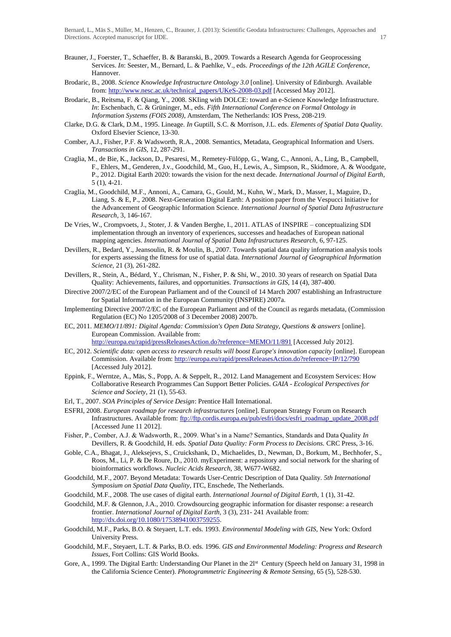Bernard, L., Mäs S., Müller, M., Henzen, C., Brauner, J. (2013): Scientific Geodata Infrastructures: Challenges, Approaches and Directions. Accepted manuscript for IJDE. 17

- Brauner, J., Foerster, T., Schaeffer, B. & Baranski, B., 2009. Towards a Research Agenda for Geoprocessing Services. *In*: Seester, M., Bernard, L. & Paehlke, V., eds. *Proceedings of the 12th AGILE Conference*, Hannover.
- Brodaric, B., 2008. *Science Knowledge Infrastructure Ontology 3.0* [online]. University of Edinburgh. Available from: [http://www.nesc.ac.uk/technical\\_papers/UKeS-2008-03.pdf](http://www.nesc.ac.uk/technical_papers/UKeS-2008-03.pdf) [Accessed May 2012].
- Brodaric, B., Reitsma, F. & Qiang, Y., 2008. SKIing with DOLCE: toward an e-Science Knowledge Infrastructure. *In*: Eschenbach, C. & Grüninger, M., eds. *Fifth International Conference on Formal Ontology in Information Systems (FOIS 2008)*, Amsterdam, The Netherlands: IOS Press, 208-219.
- Clarke, D.G. & Clark, D.M., 1995. Lineage. *In* Guptill, S.C. & Morrison, J.L. eds. *Elements of Spatial Data Quality.*  Oxford Elsevier Science, 13-30.
- Comber, A.J., Fisher, P.F. & Wadsworth, R.A., 2008. Semantics, Metadata, Geographical Information and Users. *Transactions in GIS,* 12, 287-291.
- Craglia, M., de Bie, K., Jackson, D., Pesaresi, M., Remetey-Fülöpp, G., Wang, C., Annoni, A., Ling, B., Campbell, F., Ehlers, M., Genderen, J.v., Goodchild, M., Guo, H., Lewis, A., Simpson, R., Skidmore, A. & Woodgate, P., 2012. Digital Earth 2020: towards the vision for the next decade. *International Journal of Digital Earth,*  5 (1), 4-21.
- Craglia, M., Goodchild, M.F., Annoni, A., Camara, G., Gould, M., Kuhn, W., Mark, D., Masser, I., Maguire, D., Liang, S. & E, P., 2008. Next-Generation Digital Earth: A position paper from the Vespucci Initiative for the Advancement of Geographic Information Science. *International Journal of Spatial Data Infrastructure Research,* 3, 146-167.
- De Vries, W., Crompvoets, J., Stoter, J. & Vanden Berghe, I., 2011. ATLAS of INSPIRE conceptualizing SDI implementation through an inventory of experiences, successes and headaches of European national mapping agencies. *International Journal of Spatial Data Infrastructures Research,* 6, 97-125.
- Devillers, R., Bedard, Y., Jeansoulin, R. & Moulin, B., 2007. Towards spatial data quality information analysis tools for experts assessing the fitness for use of spatial data. *International Journal of Geographical Information Science,* 21 (3), 261-282.
- Devillers, R., Stein, A., Bédard, Y., Chrisman, N., Fisher, P. & Shi, W., 2010. 30 years of research on Spatial Data Quality: Achievements, failures, and opportunities. *Transactions in GIS,* 14 (4), 387-400.
- Directive 2007/2/EC of the European Parliament and of the Council of 14 March 2007 establishing an Infrastructure for Spatial Information in the European Community (INSPIRE) 2007a.
- Implementing Directive 2007/2/EC of the European Parliament and of the Council as regards metadata, (Commission Regulation (EC) No 1205/2008 of 3 December 2008) 2007b.
- EC, 2011. *MEMO/11/891: Digital Agenda: Commission's Open Data Strategy, Questions & answers* [online]. European Commission. Available from:

<http://europa.eu/rapid/pressReleasesAction.do?reference=MEMO/11/891> [Accessed July 2012].

- EC, 2012. *Scientific data: open access to research results will boost Europe's innovation capacity* [online]. European Commission. Available from[: http://europa.eu/rapid/pressReleasesAction.do?reference=IP/12/790](http://europa.eu/rapid/pressReleasesAction.do?reference=IP/12/790) [Accessed July 2012].
- Eppink, F., Werntze, A., Mäs, S., Popp, A. & Seppelt, R., 2012. Land Management and Ecosystem Services: How Collaborative Research Programmes Can Support Better Policies. *GAIA - Ecological Perspectives for Science and Society,* 21 (1), 55-63.
- Erl, T., 2007. *SOA Principles of Service Design*: Prentice Hall International.
- ESFRI, 2008. *European roadmap for research infrastructures* [online]. European Strategy Forum on Research Infrastructures. Available from[: ftp://ftp.cordis.europa.eu/pub/esfri/docs/esfri\\_roadmap\\_update\\_2008.pdf](ftp://ftp.cordis.europa.eu/pub/esfri/docs/esfri_roadmap_update_2008.pdf) [Accessed June 11 2012].
- Fisher, P., Comber, A.J. & Wadsworth, R., 2009. What's in a Name? Semantics, Standards and Data Quality *In* Devillers, R. & Goodchild, H. eds. *Spatial Data Quality: Form Process to Decisions.* CRC Press, 3-16.
- Goble, C.A., Bhagat, J., Aleksejevs, S., Cruickshank, D., Michaelides, D., Newman, D., Borkum, M., Bechhofer, S., Roos, M., Li, P. & De Roure, D., 2010. myExperiment: a repository and social network for the sharing of bioinformatics workflows. *Nucleic Acids Research,* 38, W677-W682.
- Goodchild, M.F., 2007. Beyond Metadata: Towards User-Centric Description of Data Quality. *5th International Symposium on Spatial Data Quality*, ITC, Enschede, The Netherlands.
- Goodchild, M.F., 2008. The use cases of digital earth. *International Journal of Digital Earth,* 1 (1), 31-42.
- Goodchild, M.F. & Glennon, J.A., 2010. Crowdsourcing geographic information for disaster response: a research frontier. *International Journal of Digital Earth,* 3 (3), 231- 241 Available from: [http://dx.doi.org/10.1080/17538941003759255.](http://dx.doi.org/10.1080/17538941003759255)
- Goodchild, M.F., Parks, B.O. & Steyaert, L.T. eds. 1993. *Environmental Modeling with GIS,* New York: Oxford University Press.
- Goodchild, M.F., Steyaert, L.T. & Parks, B.O. eds. 1996. *GIS and Environmental Modeling: Progress and Research Issues,* Fort Collins: GIS World Books.
- Gore, A., 1999. The Digital Earth: Understanding Our Planet in the 2<sup>1st</sup> Century (Speech held on January 31, 1998 in the California Science Center). *Photogrammetric Engineering & Remote Sensing,* 65 (5), 528-530.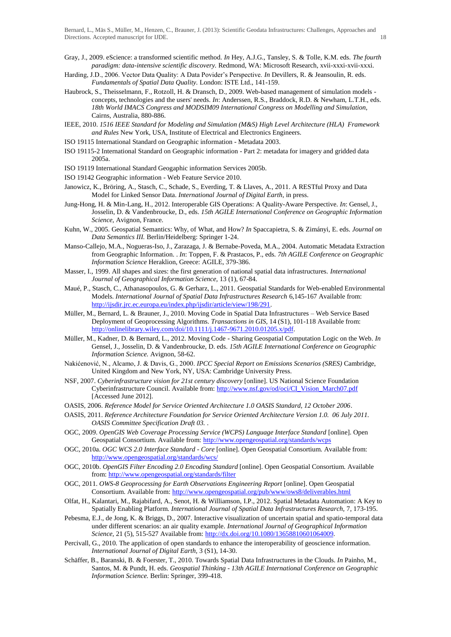- Gray, J., 2009. eScience: a transformed scientific method. *In* Hey, A.J.G., Tansley, S. & Tolle, K.M. eds. *The fourth paradigm: data-intensive scientific discovery.* Redmond, WA: Microsoft Research, xvii-xxxi-xvii-xxxi.
- Harding, J.D., 2006. Vector Data Quality: A Data Povider's Perspective. *In* Devillers, R. & Jeansoulin, R. eds. *Fundamentals of Spatial Data Quality.* London: ISTE Ltd., 141-159.
- Haubrock, S., Theisselmann, F., Rotzoll, H. & Dransch, D., 2009. Web-based management of simulation models concepts, technologies and the users' needs. *In*: Anderssen, R.S., Braddock, R.D. & Newham, L.T.H., eds. *18th World IMACS Congress and MODSIM09 International Congress on Modelling and Simulation*, Cairns, Australia, 880-886.
- IEEE, 2010. *1516 IEEE Standard for Modeling and Simulation (M&S) High Level Architecture (HLA) Framework and Rules* New York, USA, Institute of Electrical and Electronics Engineers.
- ISO 19115 International Standard on Geographic information Metadata 2003.
- ISO 19115-2 International Standard on Geographic information Part 2: metadata for imagery and gridded data 2005a.
- ISO 19119 International Standard Geogaphic information Services 2005b.
- ISO 19142 Geographic information Web Feature Service 2010.
- Janowicz, K., Bröring, A., Stasch, C., Schade, S., Everding, T. & Llaves, A., 2011. A RESTful Proxy and Data Model for Linked Sensor Data. *International Journal of Digital Earth*, in press.
- Jung-Hong, H. & Min-Lang, H., 2012. Interoperable GIS Operations: A Quality-Aware Perspective. *In*: Gensel, J., Josselin, D. & Vandenbroucke, D., eds. *15th AGILE International Conference on Geographic Information Science*, Avignon, France.
- Kuhn, W., 2005. Geospatial Semantics: Why, of What, and How? *In* Spaccapietra, S. & Zimányi, E. eds. *Journal on Data Semantics III.* Berlin/Heidelberg: Springer 1-24.
- Manso-Callejo, M.A., Nogueras-Iso, J., Zarazaga, J. & Bernabe-Poveda, M.A., 2004. Automatic Metadata Extraction from Geographic Information. . *In*: Toppen, F. & Prastacos, P., eds. *7th AGILE Conference on Geographic Information Science* Heraklion, Greece: AGILE, 379-386.
- Masser, I., 1999. All shapes and sizes: the first generation of national spatial data infrastructures. *International Journal of Geographical Information Science,* 13 (1), 67-84.
- Maué, P., Stasch, C., Athanasopoulos, G. & Gerharz, L., 2011. Geospatial Standards for Web-enabled Environmental Models. *International Journal of Spatial Data Infrastructures Research* 6,145-167 Available from: [http://ijsdir.jrc.ec.europa.eu/index.php/ijsdir/article/view/198/291.](http://ijsdir.jrc.ec.europa.eu/index.php/ijsdir/article/view/198/291)
- Müller, M., Bernard, L. & Brauner, J., 2010. Moving Code in Spatial Data Infrastructures Web Service Based Deployment of Geoprocessing Algorithms. *Transactions in GIS,* 14 (S1), 101-118 Available from: [http://onlinelibrary.wiley.com/doi/10.1111/j.1467-9671.2010.01205.x/pdf.](http://onlinelibrary.wiley.com/doi/10.1111/j.1467-9671.2010.01205.x/pdf)
- Müller, M., Kadner, D. & Bernard, L., 2012. Moving Code Sharing Geospatial Computation Logic on the Web. *In* Gensel, J., Josselin, D. & Vandenbroucke, D. eds. *15th AGILE International Conference on Geographic Information Science.* Avignon, 58-62.
- Nakićenović, N., Alcamo, J. & Davis, G., 2000. *IPCC Special Report on Emissions Scenarios (SRES)* Cambridge, United Kingdom and New York, NY, USA: Cambridge University Press.
- NSF, 2007. *Cyberinfrastructure vision for 21st century discovery* [online]. US National Science Foundation Cyberinfrastructure Council. Available from: [http://www.nsf.gov/od/oci/CI\\_Vision\\_March07.pdf](http://www.nsf.gov/od/oci/CI_Vision_March07.pdf) [Accessed June 2012].
- OASIS, 2006. *Reference Model for Service Oriented Architecture 1.0 OASIS Standard, 12 October 2006*.
- OASIS, 2011. *Reference Architecture Foundation for Service Oriented Architecture Version 1.0. 06 July 2011. OASIS Committee Specification Draft 03.* .
- OGC, 2009. *OpenGIS Web Coverage Processing Service (WCPS) Language Interface Standard* [online]. Open Geospatial Consortium. Available from:<http://www.opengeospatial.org/standards/wcps>
- OGC, 2010a. *OGC WCS 2.0 Interface Standard - Core* [online]. Open Geospatial Consortium. Available from: <http://www.opengeospatial.org/standards/wcs/>
- OGC, 2010b. *OpenGIS Filter Encoding 2.0 Encoding Standard* [online]. Open Geospatial Consortium. Available from:<http://www.opengeospatial.org/standards/filter>
- OGC, 2011. *OWS-8 Geoprocessing for Earth Observations Engineering Report* [online]. Open Geospatial Consortium. Available from[: http://www.opengeospatial.org/pub/www/ows8/deliverables.html](http://www.opengeospatial.org/pub/www/ows8/deliverables.html)
- Olfat, H., Kalantari, M., Rajabifard, A., Senot, H. & Williamson, I.P., 2012. Spatial Metadata Automation: A Key to Spatially Enabling Platform. *International Journal of Spatial Data Infrastructures Research,* 7, 173-195.
- Pebesma, E.J., de Jong, K. & Briggs, D., 2007. Interactive visualization of uncertain spatial and spatio-temporal data under different scenarios: an air quality example. *International Journal of Geographical Information Science,* 21 (5), 515-527 Available from: [http://dx.doi.org/10.1080/13658810601064009.](http://dx.doi.org/10.1080/13658810601064009)
- Percivall, G., 2010. The application of open standards to enhance the interoperability of geoscience information. *International Journal of Digital Earth,* 3 (S1), 14-30.
- Schäffer, B., Baranski, B. & Foerster, T., 2010. Towards Spatial Data Infrastructures in the Clouds. *In* Painho, M., Santos, M. & Pundt, H. eds. *Geospatial Thinking - 13th AGILE International Conference on Geographic Information Science.* Berlin: Springer, 399-418.